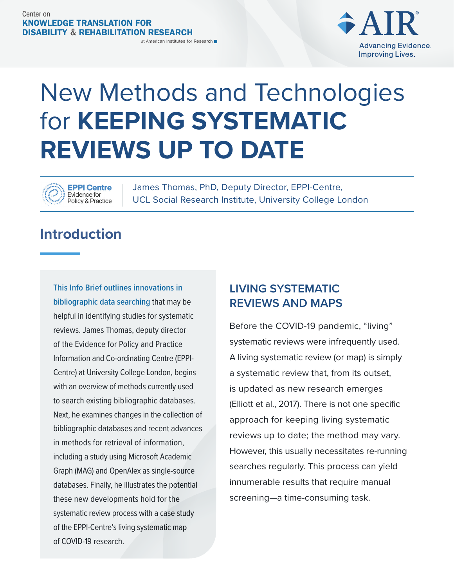

# New Methods and Technologies for **KEEPING SYSTEMATIC REVIEWS UP TO DATE**

#### **EPPI Centre** Evidence for **Policy & Practice**

James Thomas, PhD, Deputy Director, EPPI-Centre, UCL Social Research Institute, University College London

## **Introduction**

**This Info Brief outlines innovations in bibliographic data searching** that may be helpful in identifying studies for systematic reviews. James Thomas, deputy director of the Evidence for Policy and Practice Information and Co-ordinating Centre (EPPI-Centre) at University College London, begins with an overview of methods currently used to search existing bibliographic databases. Next, he examines changes in the collection of bibliographic databases and recent advances in methods for retrieval of information, including a study using Microsoft Academic Graph (MAG) and OpenAlex as single-source databases. Finally, he illustrates the potential these new developments hold for the systematic review process with a case study of the EPPI-Centre's living systematic map of COVID-19 research.

### **LIVING SYSTEMATIC REVIEWS AND MAPS**

Before the COVID-19 pandemic, "living" systematic reviews were infrequently used. A living systematic review (or map) is simply a systematic review that, from its outset, is updated as new research emerges (Elliott et al., 2017). There is not one specific approach for keeping living systematic reviews up to date; the method may vary. However, this usually necessitates re-running searches regularly. This process can yield innumerable results that require manual screening—a time-consuming task.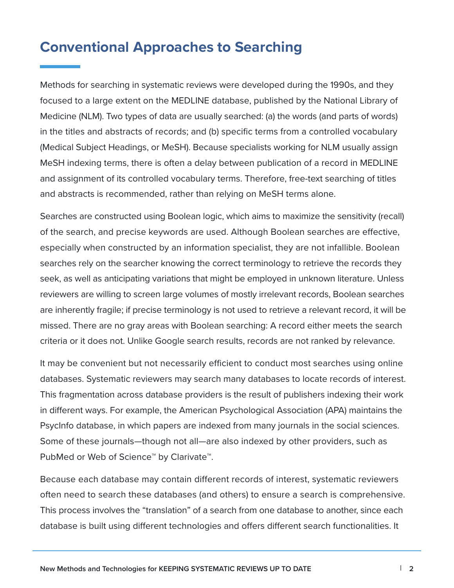### **Conventional Approaches to Searching**

Methods for searching in systematic reviews were developed during the 1990s, and they focused to a large extent on the MEDLINE database, published by the National Library of Medicine (NLM). Two types of data are usually searched: (a) the words (and parts of words) in the titles and abstracts of records; and (b) specific terms from a controlled vocabulary (Medical Subject Headings, or MeSH). Because specialists working for NLM usually assign MeSH indexing terms, there is often a delay between publication of a record in MEDLINE and assignment of its controlled vocabulary terms. Therefore, free-text searching of titles and abstracts is recommended, rather than relying on MeSH terms alone.

Searches are constructed using Boolean logic, which aims to maximize the sensitivity (recall) of the search, and precise keywords are used. Although Boolean searches are effective, especially when constructed by an information specialist, they are not infallible. Boolean searches rely on the searcher knowing the correct terminology to retrieve the records they seek, as well as anticipating variations that might be employed in unknown literature. Unless reviewers are willing to screen large volumes of mostly irrelevant records, Boolean searches are inherently fragile; if precise terminology is not used to retrieve a relevant record, it will be missed. There are no gray areas with Boolean searching: A record either meets the search criteria or it does not. Unlike Google search results, records are not ranked by relevance.

It may be convenient but not necessarily efficient to conduct most searches using online databases. Systematic reviewers may search many databases to locate records of interest. This fragmentation across database providers is the result of publishers indexing their work in different ways. For example, the American Psychological Association (APA) maintains the PsycInfo database, in which papers are indexed from many journals in the social sciences. Some of these journals—though not all—are also indexed by other providers, such as PubMed or Web of Science<sup>™</sup> by Clarivate<sup>™</sup>.

Because each database may contain different records of interest, systematic reviewers often need to search these databases (and others) to ensure a search is comprehensive. This process involves the "translation" of a search from one database to another, since each database is built using different technologies and offers different search functionalities. It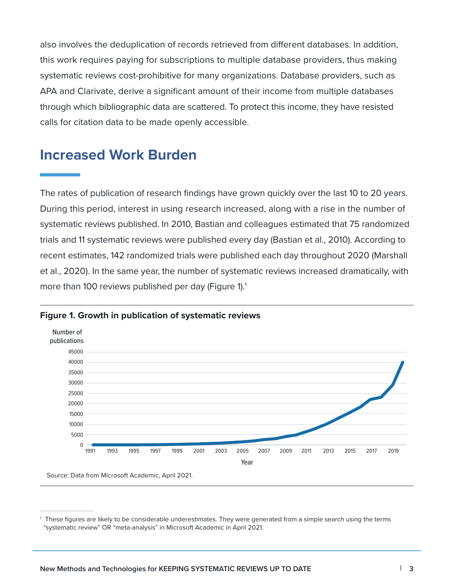also involves the deduplication of records retrieved from different databases. In addition, this work requires paying for subscriptions to multiple database providers, thus making systematic reviews cost-prohibitive for many organizations. Database providers, such as APA and Clarivate, derive a significant amount of their income from multiple databases through which bibliographic data are scattered. To protect this income, they have resisted calls for citation data to be made openly accessible.

### **Increased Work Burden**

The rates of publication of research findings have grown quickly over the last 10 to 20 years. During this period, interest in using research increased, along with a rise in the number of systematic reviews published. In 2010, Bastian and colleagues estimated that 75 randomized trials and 11 systematic reviews were published every day (Bastian et al., 2010). According to recent estimates, 142 randomized trials were published each day throughout 2020 (Marshall et al., 2020). In the same year, the number of systematic reviews increased dramatically, with more than 100 reviews published per day (Figure 1).<sup>1</sup>



#### **Figure 1. Growth in publication of systematic reviews**

<sup>&</sup>lt;sup>1</sup> These figures are likely to be considerable underestimates. They were generated from a simple search using the terms "systematic review" OR "meta-analysis" in Microsoft Academic in April 2021.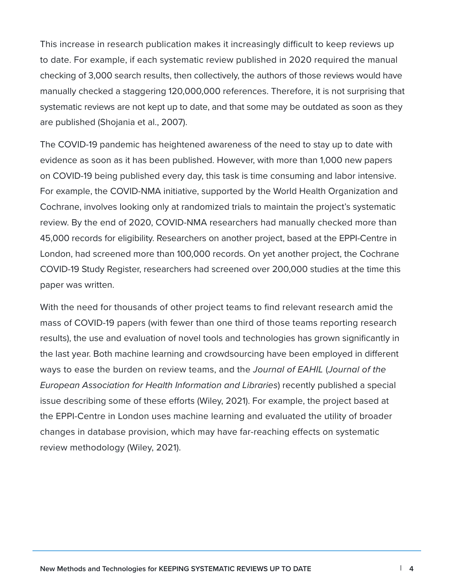This increase in research publication makes it increasingly difficult to keep reviews up to date. For example, if each systematic review published in 2020 required the manual checking of 3,000 search results, then collectively, the authors of those reviews would have manually checked a staggering 120,000,000 references. Therefore, it is not surprising that systematic reviews are not kept up to date, and that some may be outdated as soon as they are published (Shojania et al., 2007).

The COVID-19 pandemic has heightened awareness of the need to stay up to date with evidence as soon as it has been published. However, with more than 1,000 new papers on COVID-19 being published every day, this task is time consuming and labor intensive. For example, the COVID-NMA initiative, supported by the World Health Organization and Cochrane, involves looking only at randomized trials to maintain the project's systematic review. By the end of 2020, COVID-NMA researchers had manually checked more than 45,000 records for eligibility. Researchers on another project, based at the EPPI-Centre in London, had screened more than 100,000 records. On yet another project, the Cochrane COVID-19 Study Register, researchers had screened over 200,000 studies at the time this paper was written.

With the need for thousands of other project teams to find relevant research amid the mass of COVID-19 papers (with fewer than one third of those teams reporting research results), the use and evaluation of novel tools and technologies has grown significantly in the last year. Both machine learning and crowdsourcing have been employed in different ways to ease the burden on review teams, and the *Journal of EAHIL* (*Journal of the European Association for Health Information and Libraries*) recently published a special issue describing some of these efforts (Wiley, 2021). For example, the project based at the EPPI-Centre in London uses machine learning and evaluated the utility of broader changes in database provision, which may have far-reaching effects on systematic review methodology (Wiley, 2021).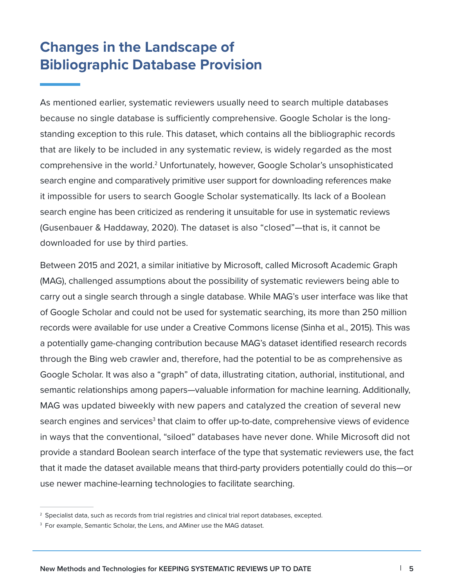## **Changes in the Landscape of Bibliographic Database Provision**

As mentioned earlier, systematic reviewers usually need to search multiple databases because no single database is sufficiently comprehensive. Google Scholar is the longstanding exception to this rule. This dataset, which contains all the bibliographic records that are likely to be included in any systematic review, is widely regarded as the most comprehensive in the world.<sup>2</sup> Unfortunately, however, Google Scholar's unsophisticated search engine and comparatively primitive user support for downloading references make it impossible for users to search Google Scholar systematically. Its lack of a Boolean search engine has been criticized as rendering it unsuitable for use in systematic reviews (Gusenbauer & Haddaway, 2020). The dataset is also "closed"—that is, it cannot be downloaded for use by third parties.

Between 2015 and 2021, a similar initiative by Microsoft, called Microsoft Academic Graph (MAG), challenged assumptions about the possibility of systematic reviewers being able to carry out a single search through a single database. While MAG's user interface was like that of Google Scholar and could not be used for systematic searching, its more than 250 million records were available for use under a Creative Commons license (Sinha et al., 2015). This was a potentially game-changing contribution because MAG's dataset identified research records through the Bing web crawler and, therefore, had the potential to be as comprehensive as Google Scholar. It was also a "graph" of data, illustrating citation, authorial, institutional, and semantic relationships among papers—valuable information for machine learning. Additionally, MAG was updated biweekly with new papers and catalyzed the creation of several new search engines and services<sup>3</sup> that claim to offer up-to-date, comprehensive views of evidence in ways that the conventional, "siloed" databases have never done. While Microsoft did not provide a standard Boolean search interface of the type that systematic reviewers use, the fact that it made the dataset available means that third-party providers potentially could do this—or use newer machine-learning technologies to facilitate searching.

 $^{\rm 2}$  Specialist data, such as records from trial registries and clinical trial report databases, excepted.

<sup>&</sup>lt;sup>3</sup> For example, Semantic Scholar, the Lens, and AMiner use the MAG dataset.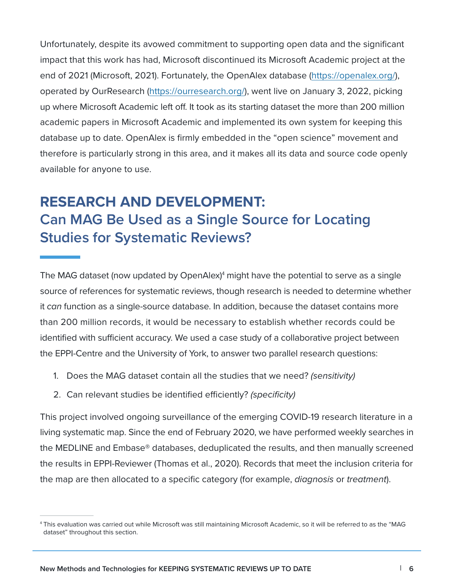Unfortunately, despite its avowed commitment to supporting open data and the significant impact that this work has had, Microsoft discontinued its Microsoft Academic project at the end of 2021 (Microsoft, 2021). Fortunately, the OpenAlex database [\(https://openalex.org/](https://openalex.org/)), operated by OurResearch ([https://ourresearch.org/\)](https://ourresearch.org/), went live on January 3, 2022, picking up where Microsoft Academic left off. It took as its starting dataset the more than 200 million academic papers in Microsoft Academic and implemented its own system for keeping this database up to date. OpenAlex is firmly embedded in the "open science" movement and therefore is particularly strong in this area, and it makes all its data and source code openly available for anyone to use.

# **RESEARCH AND DEVELOPMENT: Can MAG Be Used as a Single Source for Locating Studies for Systematic Reviews?**

The MAG dataset (now updated by OpenAlex)<sup>4</sup> might have the potential to serve as a single source of references for systematic reviews, though research is needed to determine whether it *can* function as a single-source database. In addition, because the dataset contains more than 200 million records, it would be necessary to establish whether records could be identified with sufficient accuracy. We used a case study of a collaborative project between the EPPI-Centre and the University of York, to answer two parallel research questions:

- 1. Does the MAG dataset contain all the studies that we need? *(sensitivity)*
- 2. Can relevant studies be identified efficiently? *(specificity)*

This project involved ongoing surveillance of the emerging COVID-19 research literature in a living systematic map. Since the end of February 2020, we have performed weekly searches in the MEDLINE and Embase® databases, deduplicated the results, and then manually screened the results in EPPI-Reviewer (Thomas et al., 2020). Records that meet the inclusion criteria for the map are then allocated to a specific category (for example, *diagnosis* or *treatment*).

<sup>4</sup> This evaluation was carried out while Microsoft was still maintaining Microsoft Academic, so it will be referred to as the "MAG dataset" throughout this section.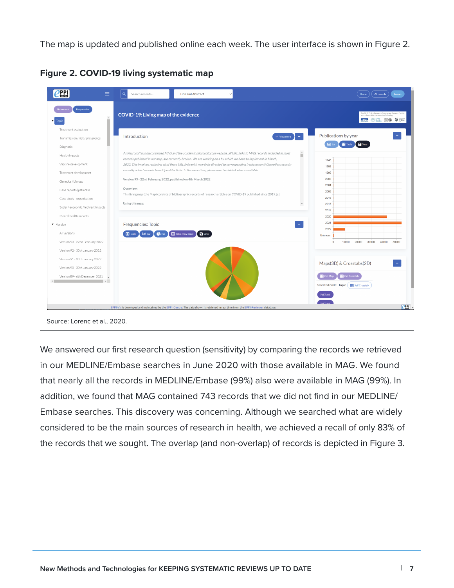The map is updated and published online each week. The user interface is shown in Figure 2.

| Frequencies<br><b>List records</b>                                                                                                                                                   | COVID-19: Living map of the evidence                                                                                                                                                                                                                                                                                                                                                                                                                                                                                                                                                                                                                                                                                                 | e NIHR Policy Research Programme Reviews Facilit<br>is a collaboration between the following:<br><b>FUCH OFFICE SO WE CAREL</b>                                  |
|--------------------------------------------------------------------------------------------------------------------------------------------------------------------------------------|--------------------------------------------------------------------------------------------------------------------------------------------------------------------------------------------------------------------------------------------------------------------------------------------------------------------------------------------------------------------------------------------------------------------------------------------------------------------------------------------------------------------------------------------------------------------------------------------------------------------------------------------------------------------------------------------------------------------------------------|------------------------------------------------------------------------------------------------------------------------------------------------------------------|
| Treatment evaluation<br>Transmission / risk / prevalence<br>Diagnosis                                                                                                                | Introduction<br>$\equiv$<br>$\vee$ View more                                                                                                                                                                                                                                                                                                                                                                                                                                                                                                                                                                                                                                                                                         | Publications by year<br><b>Lad</b> Bar<br><b>a</b> Save<br><b>EE</b> Table                                                                                       |
| Health impacts<br>Vaccine development<br>Treatment development<br>Genetics / biology<br>Case reports (patients)<br>Case study - organisation<br>Social / economic / indirect impacts | As Microsoft has discontinued MAG and the academic.microsoft.com website, all URL links to MAG records, included in most<br>ш<br>records published in our map, are currently broken. We are working on a fix, which we hope to implement in March,<br>2022. This involves replacing all of these URL links with new links directed to corresponding (replacement) OpenAlex records;<br>recently added records have OpenAlex links. In the meantime, please use the doi link where available.<br>Version 93 - 22nd February, 2022, published on 4th March 2022<br>Overview:<br>This living map (the Map) consists of bibliographic records of research articles on COVID-19 published since 2019.[a]<br>Using this map:<br>$\check{}$ | 1946<br>1992<br>1999<br>2003<br>2004<br>2006<br>2016<br>2017<br>2019<br>2020<br>2021<br>2022<br>Unknown<br>30000<br>40000<br>50000<br>$\Omega$<br>10000<br>20000 |
| Mental health impacts<br>v Version<br>All versions<br>Version 93 - 22nd February 2022                                                                                                | Frequencies: Topic<br>Table (new page)<br><b>H</b> Table<br><b>Ltd</b> Bar<br><b>AL</b> Pic<br><b>B</b> Save                                                                                                                                                                                                                                                                                                                                                                                                                                                                                                                                                                                                                         |                                                                                                                                                                  |
| Version 92 - 30th January 2022<br>Version 91 - 30th January 2022<br>Version 90 - 30th January 2022<br>Version 89 - 6th December 2021<br>$\rightarrow$                                |                                                                                                                                                                                                                                                                                                                                                                                                                                                                                                                                                                                                                                                                                                                                      | Maps(3D) & Crosstabs(2D)<br><b>EE</b> Get Map<br><b>EE</b> Get Crosstal<br>Selected node: Topic   Belf Crosstab<br>Set X axis                                    |

**Figure 2. COVID-19 living systematic map** 

Source: Lorenc et al., 2020.

We answered our first research question (sensitivity) by comparing the records we retrieved in our MEDLINE/Embase searches in June 2020 with those available in MAG. We found that nearly all the records in MEDLINE/Embase (99%) also were available in MAG (99%). In addition, we found that MAG contained 743 records that we did not find in our MEDLINE/ Embase searches. This discovery was concerning. Although we searched what are widely considered to be the main sources of research in health, we achieved a recall of only 83% of the records that we sought. The overlap (and non-overlap) of records is depicted in Figure 3.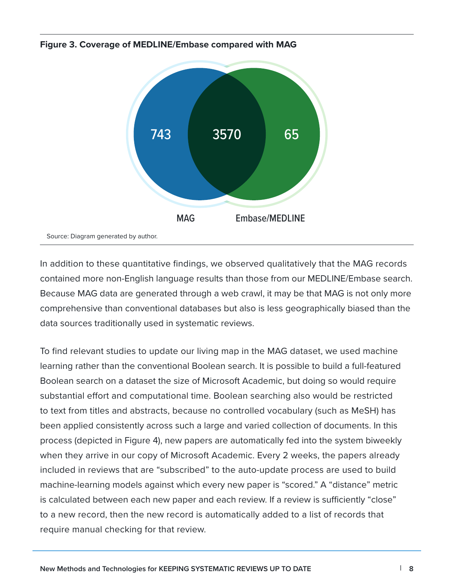

**Figure 3. Coverage of MEDLINE/Embase compared with MAG** 

In addition to these quantitative findings, we observed qualitatively that the MAG records contained more non-English language results than those from our MEDLINE/Embase search. Because MAG data are generated through a web crawl, it may be that MAG is not only more comprehensive than conventional databases but also is less geographically biased than the data sources traditionally used in systematic reviews.

To find relevant studies to update our living map in the MAG dataset, we used machine learning rather than the conventional Boolean search. It is possible to build a full-featured Boolean search on a dataset the size of Microsoft Academic, but doing so would require substantial effort and computational time. Boolean searching also would be restricted to text from titles and abstracts, because no controlled vocabulary (such as MeSH) has been applied consistently across such a large and varied collection of documents. In this process (depicted in Figure 4), new papers are automatically fed into the system biweekly when they arrive in our copy of Microsoft Academic. Every 2 weeks, the papers already included in reviews that are "subscribed" to the auto-update process are used to build machine-learning models against which every new paper is "scored." A "distance" metric is calculated between each new paper and each review. If a review is sufficiently "close" to a new record, then the new record is automatically added to a list of records that require manual checking for that review.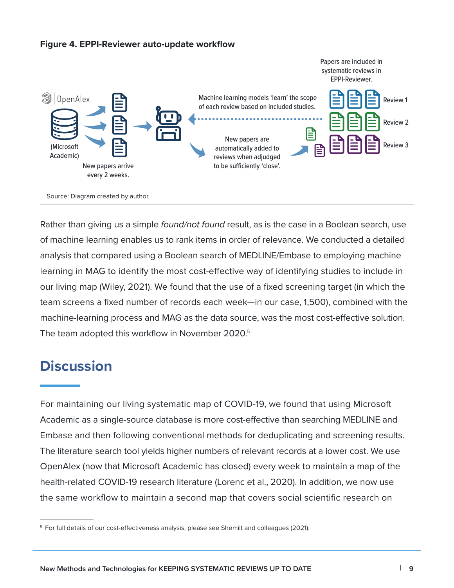

Rather than giving us a simple *found/not found* result, as is the case in a Boolean search, use of machine learning enables us to rank items in order of relevance. We conducted a detailed analysis that compared using a Boolean search of MEDLINE/Embase to employing machine learning in MAG to identify the most cost-effective way of identifying studies to include in our living map (Wiley, 2021). We found that the use of a fixed screening target (in which the team screens a fixed number of records each week—in our case, 1,500), combined with the machine-learning process and MAG as the data source, was the most cost-effective solution. The team adopted this workflow in November 2020.<sup>5</sup>

### **Discussion**

For maintaining our living systematic map of COVID-19, we found that using Microsoft Academic as a single-source database is more cost-effective than searching MEDLINE and Embase and then following conventional methods for deduplicating and screening results. The literature search tool yields higher numbers of relevant records at a lower cost. We use OpenAlex (now that Microsoft Academic has closed) every week to maintain a map of the health-related COVID-19 research literature (Lorenc et al., 2020). In addition, we now use the same workflow to maintain a second map that covers social scientific research on

<sup>&</sup>lt;sup>5</sup> For full details of our cost-effectiveness analysis, please see Shemilt and colleagues (2021).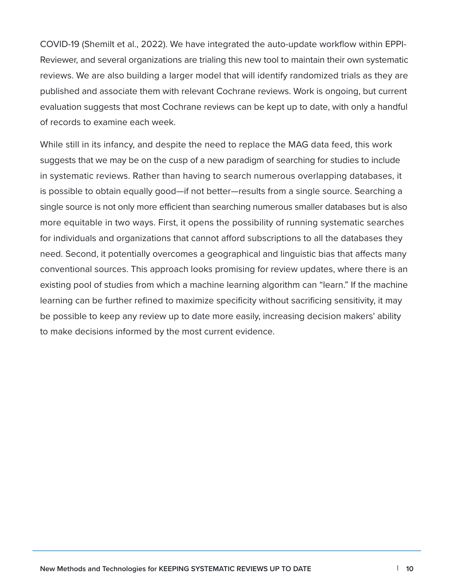COVID-19 (Shemilt et al., 2022). We have integrated the auto-update workflow within EPPI-Reviewer, and several organizations are trialing this new tool to maintain their own systematic reviews. We are also building a larger model that will identify randomized trials as they are published and associate them with relevant Cochrane reviews. Work is ongoing, but current evaluation suggests that most Cochrane reviews can be kept up to date, with only a handful of records to examine each week.

While still in its infancy, and despite the need to replace the MAG data feed, this work suggests that we may be on the cusp of a new paradigm of searching for studies to include in systematic reviews. Rather than having to search numerous overlapping databases, it is possible to obtain equally good—if not better—results from a single source. Searching a single source is not only more efficient than searching numerous smaller databases but is also more equitable in two ways. First, it opens the possibility of running systematic searches for individuals and organizations that cannot afford subscriptions to all the databases they need. Second, it potentially overcomes a geographical and linguistic bias that affects many conventional sources. This approach looks promising for review updates, where there is an existing pool of studies from which a machine learning algorithm can "learn." If the machine learning can be further refined to maximize specificity without sacrificing sensitivity, it may be possible to keep any review up to date more easily, increasing decision makers' ability to make decisions informed by the most current evidence.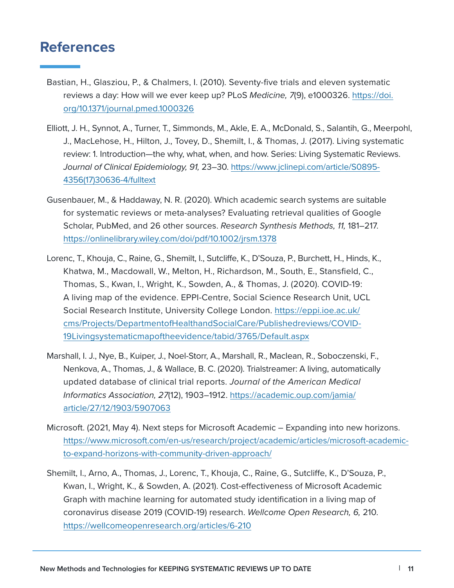### **References**

- Bastian, H., Glasziou, P., & Chalmers, I. (2010). Seventy-five trials and eleven systematic reviews a day: How will we ever keep up? PLoS *Medicine, 7*(9), e1000326. [https://doi.](https://doi.org/10.1371/journal.pmed.1000326) [org/10.1371/journal.pmed.1000326](https://doi.org/10.1371/journal.pmed.1000326)
- Elliott, J. H., Synnot, A., Turner, T., Simmonds, M., Akle, E. A., McDonald, S., Salantih, G., Meerpohl, J., MacLehose, H., Hilton, J., Tovey, D., Shemilt, I., & Thomas, J. (2017). Living systematic review: 1. Introduction—the why, what, when, and how. Series: Living Systematic Reviews. *Journal of Clinical Epidemiology, 91,* 23–30. [https://www.jclinepi.com/article/S0895-](https://www.jclinepi.com/article/S0895-4356(17)30636-4/fulltext) [4356\(17\)30636-4/fulltext](https://www.jclinepi.com/article/S0895-4356(17)30636-4/fulltext)
- Gusenbauer, M., & Haddaway, N. R. (2020). Which academic search systems are suitable for systematic reviews or meta-analyses? Evaluating retrieval qualities of Google Scholar, PubMed, and 26 other sources. *Research Synthesis Methods, 11,* 181–217. <https://onlinelibrary.wiley.com/doi/pdf/10.1002/jrsm.1378>
- Lorenc, T., Khouja, C., Raine, G., Shemilt, I., Sutcliffe, K., D'Souza, P., Burchett, H., Hinds, K., Khatwa, M., Macdowall, W., Melton, H., Richardson, M., South, E., Stansfield, C., Thomas, S., Kwan, I., Wright, K., Sowden, A., & Thomas, J. (2020). COVID-19: A living map of the evidence. EPPI-Centre, Social Science Research Unit, UCL Social Research Institute, University College London. [https://eppi.ioe.ac.uk/](https://eppi.ioe.ac.uk/cms/Projects/DepartmentofHealthandSocialCare/Publishedreviews/COVID-19Livingsystematicmapoftheevidence/tabid/3765/Default.aspx)  [cms/Projects/DepartmentofHealthandSocialCare/Publishedreviews/COVID-](https://eppi.ioe.ac.uk/cms/Projects/DepartmentofHealthandSocialCare/Publishedreviews/COVID-19Livingsystematicmapoftheevidence/tabid/3765/Default.aspx)[19Livingsystematicmapoftheevidence/tabid/3765/Default.aspx](https://eppi.ioe.ac.uk/cms/Projects/DepartmentofHealthandSocialCare/Publishedreviews/COVID-19Livingsystematicmapoftheevidence/tabid/3765/Default.aspx)
- Marshall, I. J., Nye, B., Kuiper, J., Noel-Storr, A., Marshall, R., Maclean, R., Soboczenski, F., Nenkova, A., Thomas, J., & Wallace, B. C. (2020). Trialstreamer: A living, automatically updated database of clinical trial reports. *Journal of the American Medical Informatics Association, 27*(12), 1903–1912. [https://academic.oup.com/jamia/](https://academic.oup.com/jamia/article/27/12/1903/5907063)  [article/27/12/1903/5907063](https://academic.oup.com/jamia/article/27/12/1903/5907063)
- Microsoft. (2021, May 4). Next steps for Microsoft Academic Expanding into new horizons. [https://www.microsoft.com/en-us/research/project/academic/articles/microsoft-academic](https://www.microsoft.com/en-us/research/project/academic/articles/microsoft-academic-to-expand-horizons-with-community-driven-approach/)[to-expand-horizons-with-community-driven-approach/](https://www.microsoft.com/en-us/research/project/academic/articles/microsoft-academic-to-expand-horizons-with-community-driven-approach/)
- Shemilt, I., Arno, A., Thomas, J., Lorenc, T., Khouja, C., Raine, G., Sutcliffe, K., D'Souza, P., Kwan, I., Wright, K., & Sowden, A. (2021). Cost-effectiveness of Microsoft Academic Graph with machine learning for automated study identification in a living map of coronavirus disease 2019 (COVID-19) research. *Wellcome Open Research, 6,* 210. <https://wellcomeopenresearch.org/articles/6-210>